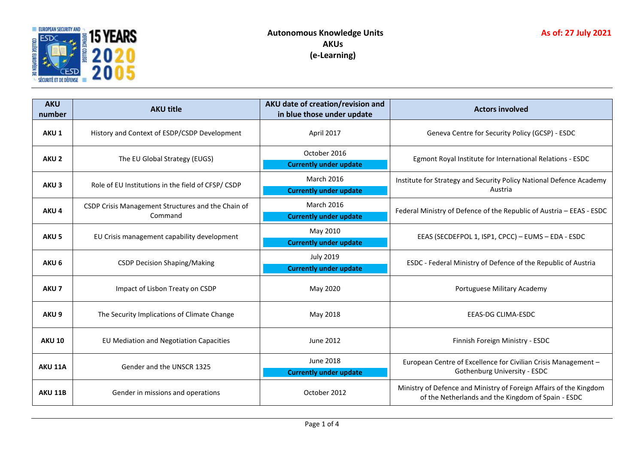

| <b>AKU</b><br>number | <b>AKU title</b>                                              | AKU date of creation/revision and<br>in blue those under update | <b>Actors involved</b>                                                                                                   |  |
|----------------------|---------------------------------------------------------------|-----------------------------------------------------------------|--------------------------------------------------------------------------------------------------------------------------|--|
| AKU <sub>1</sub>     | History and Context of ESDP/CSDP Development                  | April 2017                                                      | Geneva Centre for Security Policy (GCSP) - ESDC                                                                          |  |
| AKU <sub>2</sub>     | The EU Global Strategy (EUGS)                                 | October 2016<br><b>Currently under update</b>                   | Egmont Royal Institute for International Relations - ESDC                                                                |  |
| AKU <sub>3</sub>     | Role of EU Institutions in the field of CFSP/CSDP             | <b>March 2016</b><br><b>Currently under update</b>              | Institute for Strategy and Security Policy National Defence Academy<br>Austria                                           |  |
| AKU <sub>4</sub>     | CSDP Crisis Management Structures and the Chain of<br>Command | <b>March 2016</b><br><b>Currently under update</b>              | Federal Ministry of Defence of the Republic of Austria - EEAS - ESDC                                                     |  |
| AKU <sub>5</sub>     | EU Crisis management capability development                   | May 2010<br><b>Currently under update</b>                       | EEAS (SECDEFPOL 1, ISP1, CPCC) - EUMS - EDA - ESDC                                                                       |  |
| AKU <sub>6</sub>     | <b>CSDP Decision Shaping/Making</b>                           | <b>July 2019</b><br><b>Currently under update</b>               | ESDC - Federal Ministry of Defence of the Republic of Austria                                                            |  |
| AKU <sub>7</sub>     | Impact of Lisbon Treaty on CSDP                               | May 2020                                                        | Portuguese Military Academy                                                                                              |  |
| AKU <sub>9</sub>     | The Security Implications of Climate Change                   | May 2018                                                        | <b>EEAS-DG CLIMA-ESDC</b>                                                                                                |  |
| <b>AKU 10</b>        | EU Mediation and Negotiation Capacities                       | June 2012                                                       | Finnish Foreign Ministry - ESDC                                                                                          |  |
| AKU 11A              | Gender and the UNSCR 1325                                     | June 2018<br><b>Currently under update</b>                      | European Centre of Excellence for Civilian Crisis Management -<br><b>Gothenburg University - ESDC</b>                    |  |
| <b>AKU 11B</b>       | Gender in missions and operations                             | October 2012                                                    | Ministry of Defence and Ministry of Foreign Affairs of the Kingdom<br>of the Netherlands and the Kingdom of Spain - ESDC |  |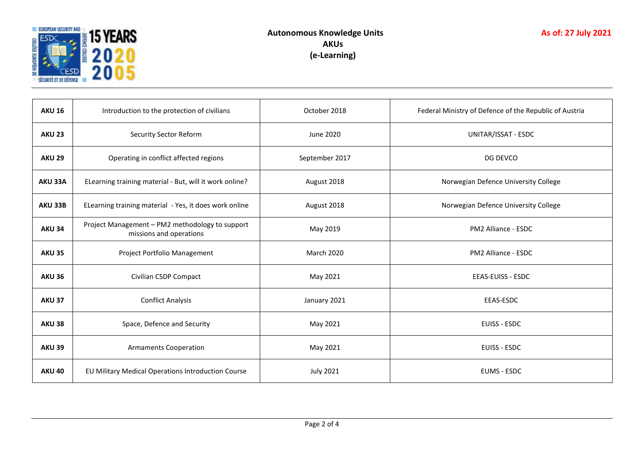

| <b>AKU 16</b> | Introduction to the protection of civilians                                | October 2018      | Federal Ministry of Defence of the Republic of Austria |  |
|---------------|----------------------------------------------------------------------------|-------------------|--------------------------------------------------------|--|
| <b>AKU 23</b> | <b>Security Sector Reform</b>                                              | June 2020         | UNITAR/ISSAT - ESDC                                    |  |
| <b>AKU 29</b> | Operating in conflict affected regions                                     | September 2017    | DG DEVCO                                               |  |
| AKU 33A       | ELearning training material - But, will it work online?                    | August 2018       | Norwegian Defence University College                   |  |
| AKU 33B       | ELearning training material - Yes, it does work online                     | August 2018       | Norwegian Defence University College                   |  |
| <b>AKU 34</b> | Project Management - PM2 methodology to support<br>missions and operations | May 2019          | PM2 Alliance - ESDC                                    |  |
| <b>AKU 35</b> | Project Portfolio Management                                               | <b>March 2020</b> | PM2 Alliance - ESDC                                    |  |
| <b>AKU 36</b> | Civilian CSDP Compact                                                      | May 2021          | <b>EEAS-EUISS - ESDC</b>                               |  |
| <b>AKU 37</b> | <b>Conflict Analysis</b>                                                   | January 2021      | EEAS-ESDC                                              |  |
| <b>AKU 38</b> | Space, Defence and Security                                                | May 2021          | EUISS - ESDC                                           |  |
| <b>AKU 39</b> | <b>Armaments Cooperation</b>                                               | May 2021          | EUISS - ESDC                                           |  |
| <b>AKU 40</b> | EU Military Medical Operations Introduction Course                         | <b>July 2021</b>  | <b>EUMS - ESDC</b>                                     |  |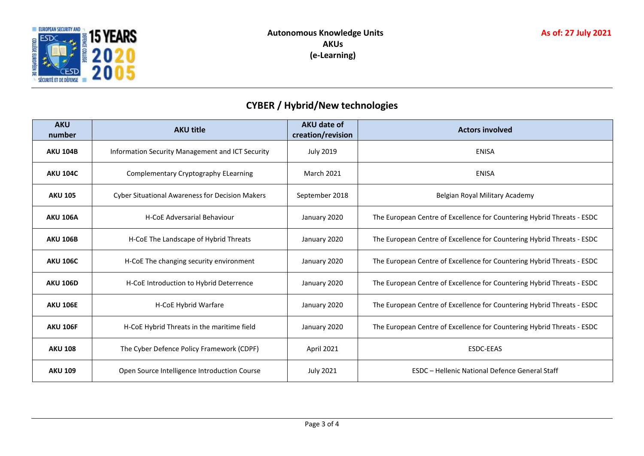

## **CYBER / Hybrid/New technologies**

| <b>AKU</b><br>number | <b>AKU title</b>                                       | <b>AKU date of</b><br>creation/revision | <b>Actors involved</b>                                                 |
|----------------------|--------------------------------------------------------|-----------------------------------------|------------------------------------------------------------------------|
| <b>AKU 104B</b>      | Information Security Management and ICT Security       | <b>July 2019</b>                        | <b>ENISA</b>                                                           |
| <b>AKU 104C</b>      | Complementary Cryptography ELearning                   | <b>March 2021</b>                       | <b>ENISA</b>                                                           |
| <b>AKU 105</b>       | <b>Cyber Situational Awareness for Decision Makers</b> | September 2018                          | Belgian Royal Military Academy                                         |
| <b>AKU 106A</b>      | <b>H-CoE Adversarial Behaviour</b>                     | January 2020                            | The European Centre of Excellence for Countering Hybrid Threats - ESDC |
| <b>AKU 106B</b>      | H-CoE The Landscape of Hybrid Threats                  | January 2020                            | The European Centre of Excellence for Countering Hybrid Threats - ESDC |
| <b>AKU 106C</b>      | H-CoE The changing security environment                | January 2020                            | The European Centre of Excellence for Countering Hybrid Threats - ESDC |
| <b>AKU 106D</b>      | H-CoE Introduction to Hybrid Deterrence                | January 2020                            | The European Centre of Excellence for Countering Hybrid Threats - ESDC |
| <b>AKU 106E</b>      | H-CoE Hybrid Warfare                                   | January 2020                            | The European Centre of Excellence for Countering Hybrid Threats - ESDC |
| <b>AKU 106F</b>      | H-CoE Hybrid Threats in the maritime field             | January 2020                            | The European Centre of Excellence for Countering Hybrid Threats - ESDC |
| <b>AKU 108</b>       | The Cyber Defence Policy Framework (CDPF)              | <b>April 2021</b>                       | <b>ESDC-EEAS</b>                                                       |
| <b>AKU 109</b>       | Open Source Intelligence Introduction Course           | <b>July 2021</b>                        | ESDC - Hellenic National Defence General Staff                         |